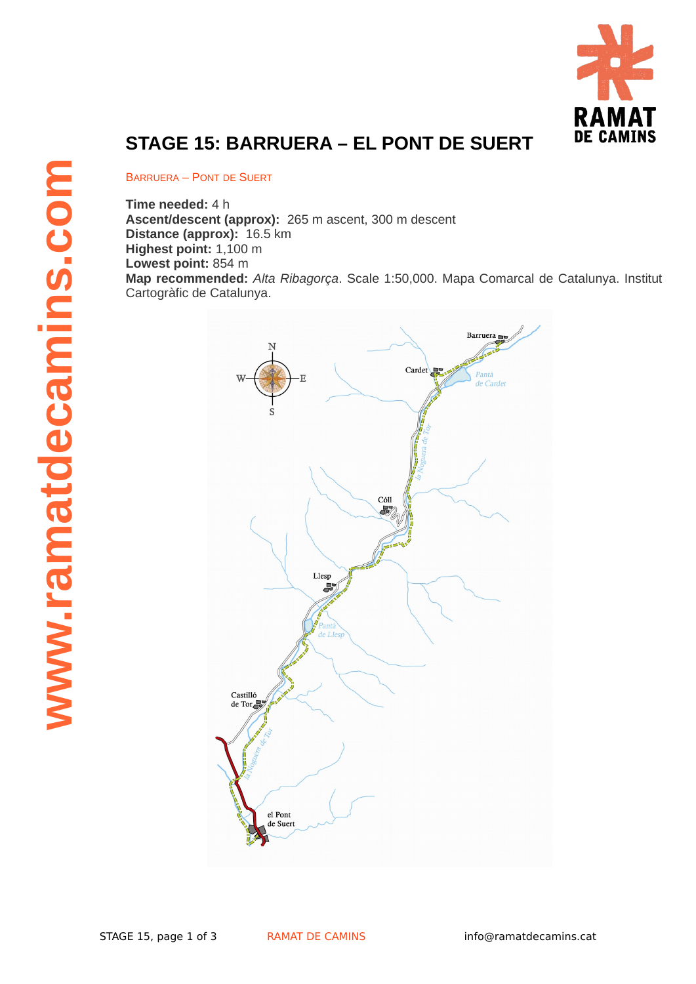

## **STAGE 15: BARRUERA – EL PONT DE SUERT**

BARRUERA – PONT DE SUERT

**Time needed:** 4 h

**Ascent/descent (approx):** 265 m ascent, 300 m descent **Distance (approx):** 16.5 km **Highest point:** 1,100 m **Lowest point:** 854 m **Map recommended:** *Alta Ribagorça*. Scale 1:50,000. Mapa Comarcal de Catalunya. Institut Cartogràfic de Catalunya.

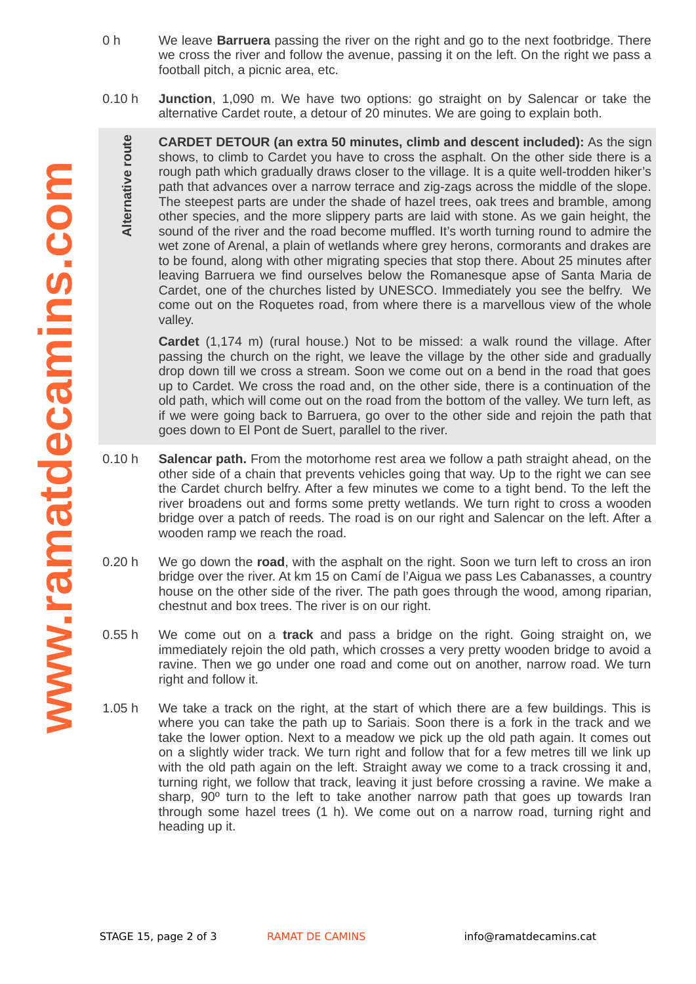- 0 h We leave **Barruera** passing the river on the right and go to the next footbridge. There we cross the river and follow the avenue, passing it on the left. On the right we pass a football pitch, a picnic area, etc.
- 0.10 h **Junction**, 1,090 m. We have two options: go straight on by Salencar or take the alternative Cardet route, a detour of 20 minutes. We are going to explain both.

**CARDET DETOUR (an extra 50 minutes, climb and descent included):** As the sign shows, to climb to Cardet you have to cross the asphalt. On the other side there is a rough path which gradually draws closer to the village. It is a quite well-trodden hiker's path that advances over a narrow terrace and zig-zags across the middle of the slope. The steepest parts are under the shade of hazel trees, oak trees and bramble, among other species, and the more slippery parts are laid with stone. As we gain height, the sound of the river and the road become muffled. It's worth turning round to admire the wet zone of Arenal, a plain of wetlands where grey herons, cormorants and drakes are to be found, along with other migrating species that stop there. About 25 minutes after leaving Barruera we find ourselves below the Romanesque apse of Santa Maria de Cardet, one of the churches listed by UNESCO. Immediately you see the belfry. We come out on the Roquetes road, from where there is a marvellous view of the whole valley.

**Cardet** (1,174 m) (rural house.) Not to be missed: a walk round the village. After passing the church on the right, we leave the village by the other side and gradually drop down till we cross a stream. Soon we come out on a bend in the road that goes up to Cardet. We cross the road and, on the other side, there is a continuation of the old path, which will come out on the road from the bottom of the valley. We turn left, as if we were going back to Barruera, go over to the other side and rejoin the path that goes down to El Pont de Suert, parallel to the river.

- 0.10 h **Salencar path.** From the motorhome rest area we follow a path straight ahead, on the other side of a chain that prevents vehicles going that way. Up to the right we can see the Cardet church belfry. After a few minutes we come to a tight bend. To the left the river broadens out and forms some pretty wetlands. We turn right to cross a wooden bridge over a patch of reeds. The road is on our right and Salencar on the left. After a wooden ramp we reach the road.
- 0.20 h We go down the **road**, with the asphalt on the right. Soon we turn left to cross an iron bridge over the river. At km 15 on Camí de l'Aigua we pass Les Cabanasses, a country house on the other side of the river. The path goes through the wood, among riparian, chestnut and box trees. The river is on our right.
- 0.55 h We come out on a **track** and pass a bridge on the right. Going straight on, we immediately rejoin the old path, which crosses a very pretty wooden bridge to avoid a ravine. Then we go under one road and come out on another, narrow road. We turn right and follow it.
- 1.05 h We take a track on the right, at the start of which there are a few buildings. This is where you can take the path up to Sariais. Soon there is a fork in the track and we take the lower option. Next to a meadow we pick up the old path again. It comes out on a slightly wider track. We turn right and follow that for a few metres till we link up with the old path again on the left. Straight away we come to a track crossing it and, turning right, we follow that track, leaving it just before crossing a ravine. We make a sharp, 90º turn to the left to take another narrow path that goes up towards Iran through some hazel trees  $(1 h)$ . We come out on a narrow road, turning right and heading up it.
- **www .ramatdecaminscom**

**Altern**

**ativ e ro**

**ute**